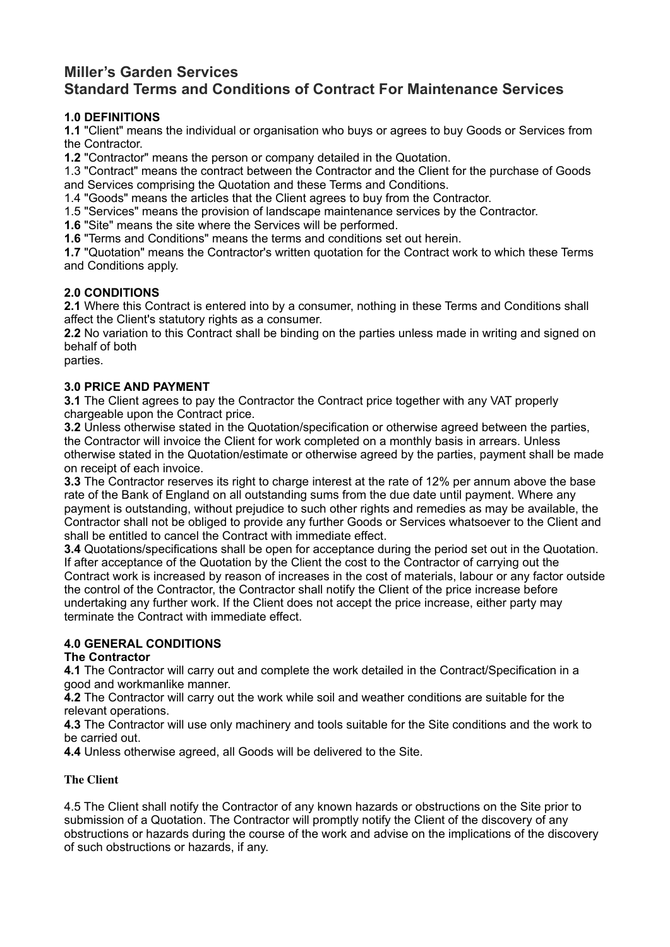# **Miller's Garden Services Standard Terms and Conditions of Contract For Maintenance Services**

# **1.0 DEFINITIONS**

**1.1** "Client" means the individual or organisation who buys or agrees to buy Goods or Services from the Contractor.

**1.2** "Contractor" means the person or company detailed in the Quotation.

1.3 "Contract" means the contract between the Contractor and the Client for the purchase of Goods and Services comprising the Quotation and these Terms and Conditions.

1.4 "Goods" means the articles that the Client agrees to buy from the Contractor.

1.5 "Services" means the provision of landscape maintenance services by the Contractor.

**1.6** "Site" means the site where the Services will be performed.

**1.6** "Terms and Conditions" means the terms and conditions set out herein.

**1.7** "Quotation" means the Contractor's written quotation for the Contract work to which these Terms and Conditions apply.

### **2.0 CONDITIONS**

**2.1** Where this Contract is entered into by a consumer, nothing in these Terms and Conditions shall affect the Client's statutory rights as a consumer.

**2.2** No variation to this Contract shall be binding on the parties unless made in writing and signed on behalf of both

parties.

### **3.0 PRICE AND PAYMENT**

**3.1** The Client agrees to pay the Contractor the Contract price together with any VAT properly chargeable upon the Contract price.

**3.2** Unless otherwise stated in the Quotation/specification or otherwise agreed between the parties, the Contractor will invoice the Client for work completed on a monthly basis in arrears. Unless otherwise stated in the Quotation/estimate or otherwise agreed by the parties, payment shall be made on receipt of each invoice.

**3.3** The Contractor reserves its right to charge interest at the rate of 12% per annum above the base rate of the Bank of England on all outstanding sums from the due date until payment. Where any payment is outstanding, without prejudice to such other rights and remedies as may be available, the Contractor shall not be obliged to provide any further Goods or Services whatsoever to the Client and shall be entitled to cancel the Contract with immediate effect.

**3.4** Quotations/specifications shall be open for acceptance during the period set out in the Quotation. If after acceptance of the Quotation by the Client the cost to the Contractor of carrying out the Contract work is increased by reason of increases in the cost of materials, labour or any factor outside the control of the Contractor, the Contractor shall notify the Client of the price increase before undertaking any further work. If the Client does not accept the price increase, either party may terminate the Contract with immediate effect.

# **4.0 GENERAL CONDITIONS**

### **The Contractor**

**4.1** The Contractor will carry out and complete the work detailed in the Contract/Specification in a good and workmanlike manner.

**4.2** The Contractor will carry out the work while soil and weather conditions are suitable for the relevant operations.

**4.3** The Contractor will use only machinery and tools suitable for the Site conditions and the work to be carried out.

**4.4** Unless otherwise agreed, all Goods will be delivered to the Site.

### **The Client**

4.5 The Client shall notify the Contractor of any known hazards or obstructions on the Site prior to submission of a Quotation. The Contractor will promptly notify the Client of the discovery of any obstructions or hazards during the course of the work and advise on the implications of the discovery of such obstructions or hazards, if any.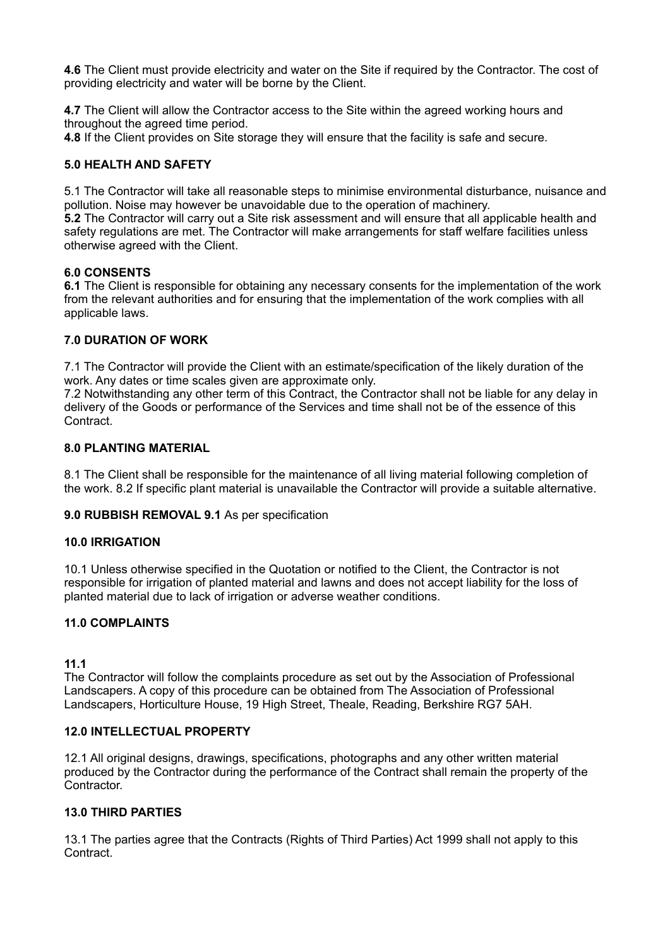**4.6** The Client must provide electricity and water on the Site if required by the Contractor. The cost of providing electricity and water will be borne by the Client.

**4.7** The Client will allow the Contractor access to the Site within the agreed working hours and throughout the agreed time period.

**4.8** If the Client provides on Site storage they will ensure that the facility is safe and secure.

### **5.0 HEALTH AND SAFETY**

5.1 The Contractor will take all reasonable steps to minimise environmental disturbance, nuisance and pollution. Noise may however be unavoidable due to the operation of machinery. **5.2** The Contractor will carry out a Site risk assessment and will ensure that all applicable health and safety regulations are met. The Contractor will make arrangements for staff welfare facilities unless otherwise agreed with the Client.

### **6.0 CONSENTS**

**6.1** The Client is responsible for obtaining any necessary consents for the implementation of the work from the relevant authorities and for ensuring that the implementation of the work complies with all applicable laws.

### **7.0 DURATION OF WORK**

7.1 The Contractor will provide the Client with an estimate/specification of the likely duration of the work. Any dates or time scales given are approximate only.

7.2 Notwithstanding any other term of this Contract, the Contractor shall not be liable for any delay in delivery of the Goods or performance of the Services and time shall not be of the essence of this **Contract.** 

### **8.0 PLANTING MATERIAL**

8.1 The Client shall be responsible for the maintenance of all living material following completion of the work. 8.2 If specific plant material is unavailable the Contractor will provide a suitable alternative.

**9.0 RUBBISH REMOVAL 9.1** As per specification

#### **10.0 IRRIGATION**

10.1 Unless otherwise specified in the Quotation or notified to the Client, the Contractor is not responsible for irrigation of planted material and lawns and does not accept liability for the loss of planted material due to lack of irrigation or adverse weather conditions.

#### **11.0 COMPLAINTS**

#### **11.1**

The Contractor will follow the complaints procedure as set out by the Association of Professional Landscapers. A copy of this procedure can be obtained from The Association of Professional Landscapers, Horticulture House, 19 High Street, Theale, Reading, Berkshire RG7 5AH.

#### **12.0 INTELLECTUAL PROPERTY**

12.1 All original designs, drawings, specifications, photographs and any other written material produced by the Contractor during the performance of the Contract shall remain the property of the Contractor.

#### **13.0 THIRD PARTIES**

13.1 The parties agree that the Contracts (Rights of Third Parties) Act 1999 shall not apply to this Contract.